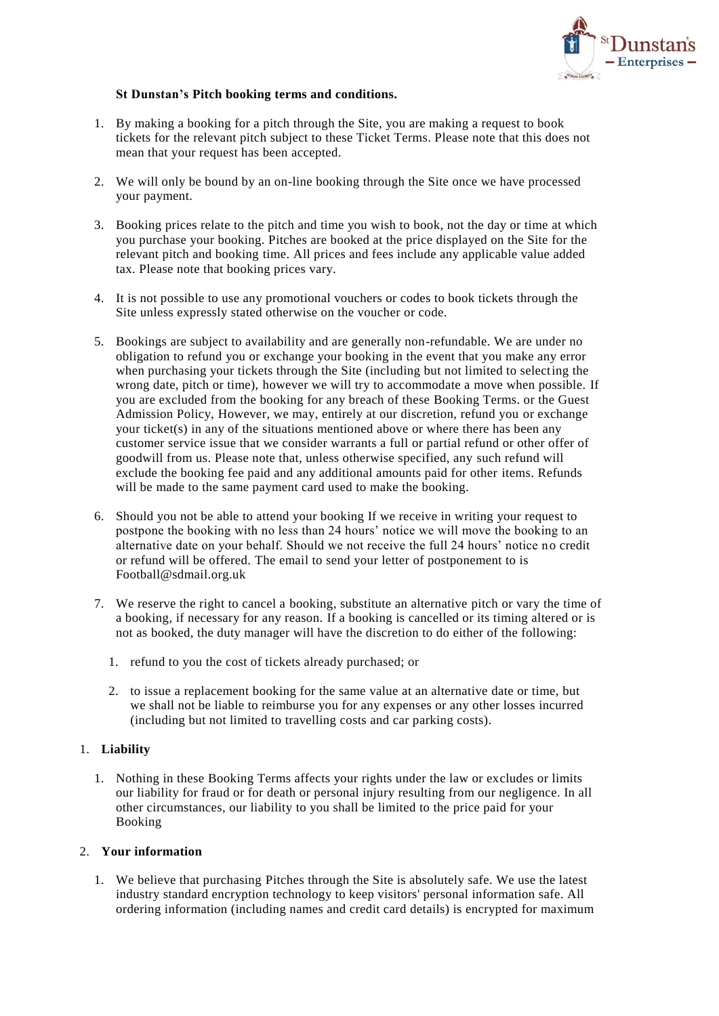

## **St Dunstan's Pitch booking terms and conditions.**

- 1. By making a booking for a pitch through the Site, you are making a request to book tickets for the relevant pitch subject to these Ticket Terms. Please note that this does not mean that your request has been accepted.
- 2. We will only be bound by an on-line booking through the Site once we have processed your payment.
- 3. Booking prices relate to the pitch and time you wish to book, not the day or time at which you purchase your booking. Pitches are booked at the price displayed on the Site for the relevant pitch and booking time. All prices and fees include any applicable value added tax. Please note that booking prices vary.
- 4. It is not possible to use any promotional vouchers or codes to book tickets through the Site unless expressly stated otherwise on the voucher or code.
- 5. Bookings are subject to availability and are generally non-refundable. We are under no obligation to refund you or exchange your booking in the event that you make any error when purchasing your tickets through the Site (including but not limited to selecting the wrong date, pitch or time), however we will try to accommodate a move when possible. If you are excluded from the booking for any breach of these Booking Terms. or the Guest Admission Policy, However, we may, entirely at our discretion, refund you or exchange your ticket(s) in any of the situations mentioned above or where there has been any customer service issue that we consider warrants a full or partial refund or other offer of goodwill from us. Please note that, unless otherwise specified, any such refund will exclude the booking fee paid and any additional amounts paid for other items. Refunds will be made to the same payment card used to make the booking.
- 6. Should you not be able to attend your booking If we receive in writing your request to postpone the booking with no less than 24 hours' notice we will move the booking to an alternative date on your behalf. Should we not receive the full 24 hours' notice no credit or refund will be offered. The email to send your letter of postponement to is Football@sdmail.org.uk
- 7. We reserve the right to cancel a booking, substitute an alternative pitch or vary the time of a booking, if necessary for any reason. If a booking is cancelled or its timing altered or is not as booked, the duty manager will have the discretion to do either of the following:
	- 1. refund to you the cost of tickets already purchased; or
	- 2. to issue a replacement booking for the same value at an alternative date or time, but we shall not be liable to reimburse you for any expenses or any other losses incurred (including but not limited to travelling costs and car parking costs).

## 1. **Liability**

1. Nothing in these Booking Terms affects your rights under the law or excludes or limits our liability for fraud or for death or personal injury resulting from our negligence. In all other circumstances, our liability to you shall be limited to the price paid for your Booking

## 2. **Your information**

1. We believe that purchasing Pitches through the Site is absolutely safe. We use the latest industry standard encryption technology to keep visitors' personal information safe. All ordering information (including names and credit card details) is encrypted for maximum